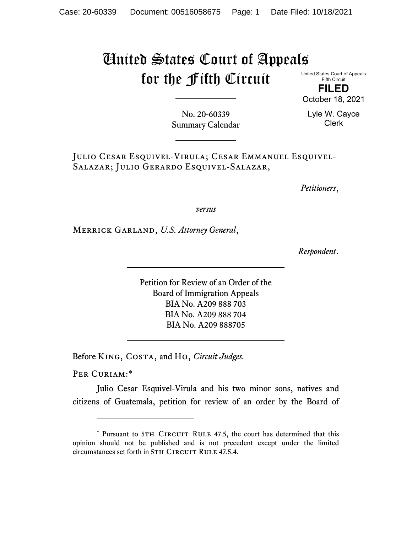## United States Court of Appeals for the Fifth Circuit

United States Court of Appeals Fifth Circuit

**FILED** October 18, 2021

No. 20-60339 Summary Calendar Lyle W. Cayce Clerk

Julio Cesar Esquivel-Virula; Cesar Emmanuel Esquivel-Salazar; Julio Gerardo Esquivel-Salazar,

*Petitioners*,

*versus*

Merrick Garland, *U.S. Attorney General*,

*Respondent*.

Petition for Review of an Order of the Board of Immigration Appeals BIA No. A209 888 703 BIA No. A209 888 704 BIA No. A209 888705

Before King, Costa, and Ho, *Circuit Judges.*

PER CURIAM:[\\*](#page-0-0)

Julio Cesar Esquivel-Virula and his two minor sons, natives and citizens of Guatemala, petition for review of an order by the Board of

<span id="page-0-0"></span><sup>\*</sup> Pursuant to 5TH CIRCUIT RULE 47.5, the court has determined that this opinion should not be published and is not precedent except under the limited circumstances set forth in 5TH CIRCUIT RULE 47.5.4.